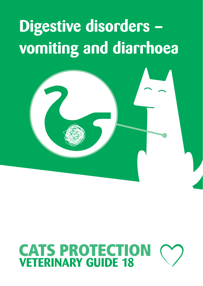# **Digestive disorders – vomiting and diarrhoea**



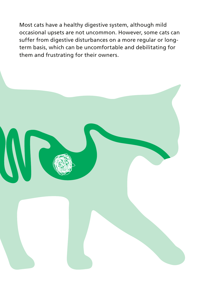Most cats have a healthy digestive system, although mild occasional upsets are not uncommon. However, some cats can suffer from digestive disturbances on a more regular or longterm basis, which can be uncomfortable and debilitating for them and frustrating for their owners.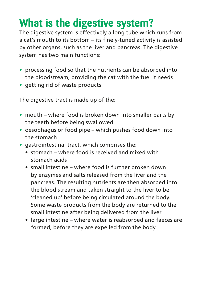### **What is the digestive system?**

The digestive system is effectively a long tube which runs from a cat's mouth to its bottom – its finely-tuned activity is assisted by other organs, such as the liver and pancreas. The digestive system has two main functions:

- **•** processing food so that the nutrients can be absorbed into the bloodstream, providing the cat with the fuel it needs
- **•** getting rid of waste products

The digestive tract is made up of the:

- **•** mouth where food is broken down into smaller parts by the teeth before being swallowed
- **•** oesophagus or food pipe which pushes food down into the stomach
- **•** gastrointestinal tract, which comprises the:
	- stomach where food is received and mixed with stomach acids
	- small intestine where food is further broken down by enzymes and salts released from the liver and the pancreas. The resulting nutrients are then absorbed into the blood stream and taken straight to the liver to be 'cleaned up' before being circulated around the body. Some waste products from the body are returned to the small intestine after being delivered from the liver
	- large intestine where water is reabsorbed and faeces are formed, before they are expelled from the body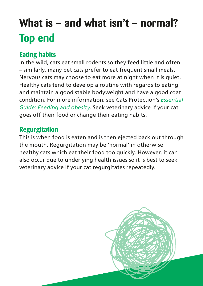# **What is – and what isn't – normal? Top end**

#### **Eating habits**

In the wild, cats eat small rodents so they feed little and often – similarly, many pet cats prefer to eat frequent small meals. Nervous cats may choose to eat more at night when it is quiet. Healthy cats tend to develop a routine with regards to eating and maintain a good stable bodyweight and have a good coat condition. For more information, see Cats Protection's *Essential Guide: Feeding and obesity*. Seek veterinary advice if your cat goes off their food or change their eating habits.

#### **Regurgitation**

This is when food is eaten and is then ejected back out through the mouth. Regurgitation may be 'normal' in otherwise healthy cats which eat their food too quickly. However, it can also occur due to underlying health issues so it is best to seek veterinary advice if your cat regurgitates repeatedly.

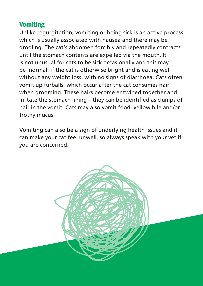#### **Vomiting**

Unlike regurgitation, vomiting or being sick is an active process which is usually associated with nausea and there may be drooling. The cat's abdomen forcibly and repeatedly contracts until the stomach contents are expelled via the mouth. It is not unusual for cats to be sick occasionally and this may be 'normal' if the cat is otherwise bright and is eating well without any weight loss, with no signs of diarrhoea. Cats often vomit up furballs, which occur after the cat consumes hair when grooming. These hairs become entwined together and irritate the stomach lining – they can be identified as clumps of hair in the vomit. Cats may also vomit food, yellow bile and/or frothy mucus.

Vomiting can also be a sign of underlying health issues and it can make your cat feel unwell, so always speak with your vet if you are concerned.

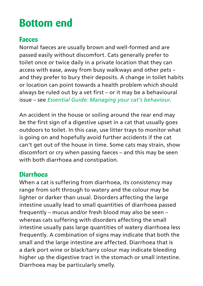### **Bottom end**

#### **Faeces**

Normal faeces are usually brown and well-formed and are passed easily without discomfort. Cats generally prefer to toilet once or twice daily in a private location that they can access with ease, away from busy walkways and other pets – and they prefer to bury their deposits. A change in toilet habits or location can point towards a health problem which should always be ruled out by a vet first – or it may be a behavioural issue – see *Essential Guide: Managing your cat's behaviour*.

An accident in the house or soiling around the rear end may be the first sign of a digestive upset in a cat that usually goes outdoors to toilet. In this case, use litter trays to monitor what is going on and hopefully avoid further accidents if the cat can't get out of the house in time. Some cats may strain, show discomfort or cry when passing faeces – and this may be seen with both diarrhoea and constipation.

#### **Diarrhoea**

When a cat is suffering from diarrhoea, its consistency may range from soft through to watery and the colour may be lighter or darker than usual. Disorders affecting the large intestine usually lead to small quantities of diarrhoea passed frequently – mucus and/or fresh blood may also be seen – whereas cats suffering with disorders affecting the small intestine usually pass large quantities of watery diarrhoea less frequently. A combination of signs may indicate that both the small and the large intestine are affected. Diarrhoea that is a dark port wine or black/tarry colour may indicate bleeding higher up the digestive tract in the stomach or small intestine. Diarrhoea may be particularly smelly.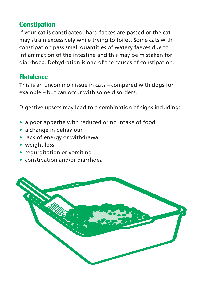#### **Constipation**

If your cat is constipated, hard faeces are passed or the cat may strain excessively while trying to toilet. Some cats with constipation pass small quantities of watery faeces due to inflammation of the intestine and this may be mistaken for diarrhoea. Dehydration is one of the causes of constipation.

#### **Flatulence**

This is an uncommon issue in cats – compared with dogs for example – but can occur with some disorders.

Digestive upsets may lead to a combination of signs including:

- **•** a poor appetite with reduced or no intake of food
- **•** a change in behaviour
- **•** lack of energy or withdrawal
- **•** weight loss
- **•** regurgitation or vomiting
- **•** constipation and/or diarrhoea

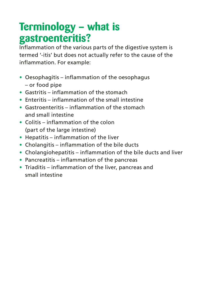### **Terminology – what is gastroenteritis?**

Inflammation of the various parts of the digestive system is termed '-itis' but does not actually refer to the cause of the inflammation. For example:

- **•** Oesophagitis inflammation of the oesophagus – or food pipe
- **•** Gastritis inflammation of the stomach
- **•** Enteritis inflammation of the small intestine
- **•** Gastroenteritis inflammation of the stomach and small intestine
- **•** Colitis inflammation of the colon (part of the large intestine)
- **•** Hepatitis inflammation of the liver
- **•** Cholangitis inflammation of the bile ducts
- **•** Cholangiohepatitis inflammation of the bile ducts and liver
- **•** Pancreatitis inflammation of the pancreas
- **•** Triaditis inflammation of the liver, pancreas and small intestine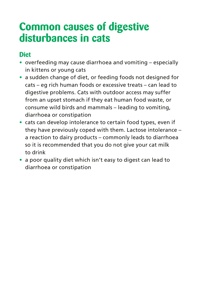### **Common causes of digestive disturbances in cats**

#### **Diet**

- **•** overfeeding may cause diarrhoea and vomiting especially in kittens or young cats
- **•** a sudden change of diet, or feeding foods not designed for cats – eg rich human foods or excessive treats – can lead to digestive problems. Cats with outdoor access may suffer from an upset stomach if they eat human food waste, or consume wild birds and mammals – leading to vomiting, diarrhoea or constipation
- **•** cats can develop intolerance to certain food types, even if they have previously coped with them. Lactose intolerance – a reaction to dairy products – commonly leads to diarrhoea so it is recommended that you do not give your cat milk to drink
- **•** a poor quality diet which isn't easy to digest can lead to diarrhoea or constipation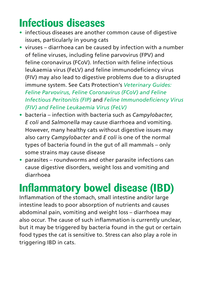### **Infectious diseases**

- **•** infectious diseases are another common cause of digestive issues, particularly in young cats
- **•** viruses diarrhoea can be caused by infection with a number of feline viruses, including feline parvovirus (FPV) and feline coronavirus (FCoV). Infection with feline infectious leukaemia virus (FeLV) and feline immunodeficiency virus (FIV) may also lead to digestive problems due to a disrupted immune system. See Cats Protection's *Veterinary Guides: Feline Parvovirus, Feline Coronavirus (FCoV) and Feline Infectious Peritonitis (FIP)* and *Feline Immunodeficiency Virus (FIV) and Feline Leukaemia Virus (FeLV)*
- **•** bacteria infection with bacteria such as *Campylobacter*, *E coli* and *Salmonella* may cause diarrhoea and vomiting. However, many healthy cats without digestive issues may also carry *Campylobacter* and *E coli* is one of the normal types of bacteria found in the gut of all mammals – only some strains may cause disease
- **•** parasites roundworms and other parasite infections can cause digestive disorders, weight loss and vomiting and diarrhoea

### **Inflammatory bowel disease (IBD)**

Inflammation of the stomach, small intestine and/or large intestine leads to poor absorption of nutrients and causes abdominal pain, vomiting and weight loss – diarrhoea may also occur. The cause of such inflammation is currently unclear, but it may be triggered by bacteria found in the gut or certain food types the cat is sensitive to. Stress can also play a role in triggering IBD in cats.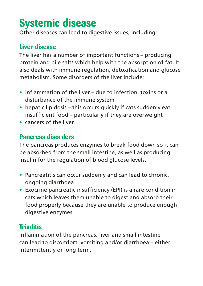### **Systemic disease**

Other diseases can lead to digestive issues, including:

#### **Liver disease**

The liver has a number of important functions – producing protein and bile salts which help with the absorption of fat. It also deals with immune regulation, detoxification and glucose metabolism. Some disorders of the liver include:

- **•** inflammation of the liver due to infection, toxins or a disturbance of the immune system
- **•** hepatic lipidosis this occurs quickly if cats suddenly eat insufficient food – particularly if they are overweight
- **•** cancers of the liver

#### **Pancreas disorders**

The pancreas produces enzymes to break food down so it can be absorbed from the small intestine, as well as producing insulin for the regulation of blood glucose levels.

- **•** Pancreatitis can occur suddenly and can lead to chronic, ongoing diarrhoea
- **•** Exocrine pancreatic insufficiency (EPI) is a rare condition in cats which leaves them unable to digest and absorb their food properly because they are unable to produce enough digestive enzymes

#### **Triaditis**

Inflammation of the pancreas, liver and small intestine can lead to discomfort, vomiting and/or diarrhoea – either intermittently or long term.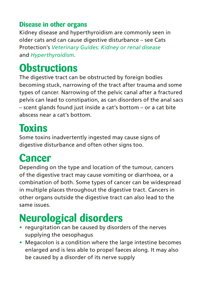#### **Disease in other organs**

Kidney disease and hyperthyroidism are commonly seen in older cats and can cause digestive disturbance – see Cats Protection's *Veterinary Guides: Kidney or renal disease* and *Hyperthyroidism*.

### **Obstructions**

The digestive tract can be obstructed by foreign bodies becoming stuck, narrowing of the tract after trauma and some types of cancer. Narrowing of the pelvic canal after a fractured pelvis can lead to constipation, as can disorders of the anal sacs – scent glands found just inside a cat's bottom – or a cat bite abscess near a cat's bottom.

### **Toxins**

Some toxins inadvertently ingested may cause signs of digestive disturbance and often other signs too.

# **Cancer**

Depending on the type and location of the tumour, cancers of the digestive tract may cause vomiting or diarrhoea, or a combination of both. Some types of cancer can be widespread in multiple places throughout the digestive tract. Cancers in other organs outside the digestive tract can also lead to the same issues.

# **Neurological disorders**

- **•** regurgitation can be caused by disorders of the nerves supplying the oesophagus
- **•** Megacolon is a condition where the large intestine becomes enlarged and is less able to propel faeces along. It may also be caused by a disorder of its nerve supply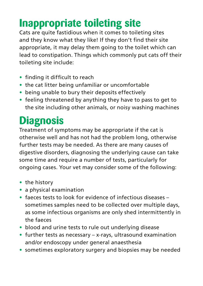# **Inappropriate toileting site**

Cats are quite fastidious when it comes to toileting sites and they know what they like! If they don't find their site appropriate, it may delay them going to the toilet which can lead to constipation. Things which commonly put cats off their toileting site include:

- **•** finding it difficult to reach
- **•** the cat litter being unfamiliar or uncomfortable
- **•** being unable to bury their deposits effectively
- **•** feeling threatened by anything they have to pass to get to the site including other animals, or noisy washing machines

# **Diagnosis**

Treatment of symptoms may be appropriate if the cat is otherwise well and has not had the problem long, otherwise further tests may be needed. As there are many causes of digestive disorders, diagnosing the underlying cause can take some time and require a number of tests, particularly for ongoing cases. Your vet may consider some of the following:

- **•** the history
- **•** a physical examination
- **•** faeces tests to look for evidence of infectious diseases sometimes samples need to be collected over multiple days, as some infectious organisms are only shed intermittently in the faeces
- **•** blood and urine tests to rule out underlying disease
- **•** further tests as necessary x-rays, ultrasound examination and/or endoscopy under general anaesthesia
- **•** sometimes exploratory surgery and biopsies may be needed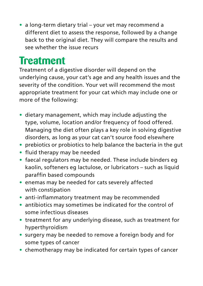**•** a long-term dietary trial – your vet may recommend a different diet to assess the response, followed by a change back to the original diet. They will compare the results and see whether the issue recurs

### **Treatment**

Treatment of a digestive disorder will depend on the underlying cause, your cat's age and any health issues and the severity of the condition. Your vet will recommend the most appropriate treatment for your cat which may include one or more of the following:

- **•** dietary management, which may include adjusting the type, volume, location and/or frequency of food offered. Managing the diet often plays a key role in solving digestive disorders, as long as your cat can't source food elsewhere
- **•** prebiotics or probiotics to help balance the bacteria in the gut
- **•** fluid therapy may be needed
- **•** faecal regulators may be needed. These include binders eg kaolin, softeners eg lactulose, or lubricators – such as liquid paraffin based compounds
- **•** enemas may be needed for cats severely affected with constipation
- **•** anti-inflammatory treatment may be recommended
- **•** antibiotics may sometimes be indicated for the control of some infectious diseases
- **•** treatment for any underlying disease, such as treatment for hyperthyroidism
- **•** surgery may be needed to remove a foreign body and for some types of cancer
- **•** chemotherapy may be indicated for certain types of cancer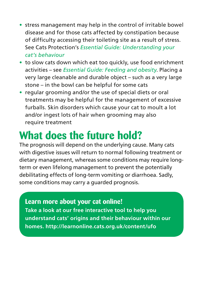- **•** stress management may help in the control of irritable bowel disease and for those cats affected by constipation because of difficulty accessing their toileting site as a result of stress. See Cats Protection's *Essential Guide: Understanding your cat's behaviour*
- **•** to slow cats down which eat too quickly, use food enrichment activities – see *Essential Guide: Feeding and obesity*. Placing a very large cleanable and durable object – such as a very large stone – in the bowl can be helpful for some cats
- **•** regular grooming and/or the use of special diets or oral treatments may be helpful for the management of excessive furballs. Skin disorders which cause your cat to moult a lot and/or ingest lots of hair when grooming may also require treatment

### **What does the future hold?**

The prognosis will depend on the underlying cause. Many cats with digestive issues will return to normal following treatment or dietary management, whereas some conditions may require longterm or even lifelong management to prevent the potentially debilitating effects of long-term vomiting or diarrhoea. Sadly, some conditions may carry a guarded prognosis.

#### **Learn more about your cat online!**

**Take a look at our free interactive tool to help you understand cats' origins and their behaviour within our homes. http://learnonline.cats.org.uk/content/ufo**